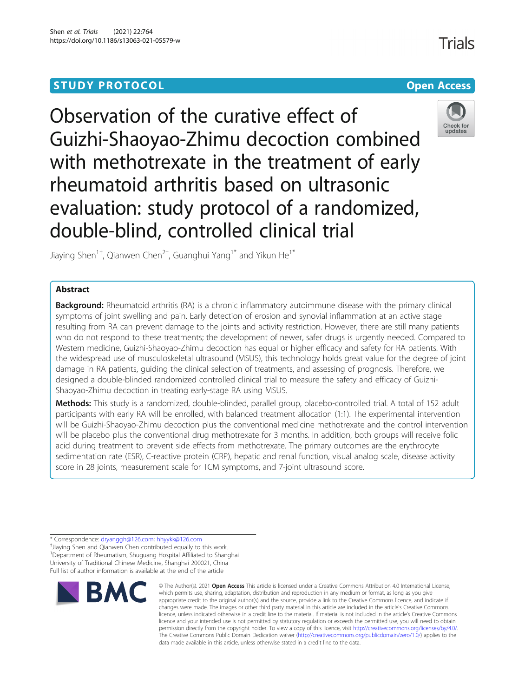# **STUDY PROTOCOL CONSUMING THE CONSUMING OPEN ACCESS**

Observation of the curative effect of Guizhi-Shaoyao-Zhimu decoction combined with methotrexate in the treatment of early rheumatoid arthritis based on ultrasonic evaluation: study protocol of a randomized, double-blind, controlled clinical trial



Jiaying Shen<sup>1†</sup>, Qianwen Chen<sup>2†</sup>, Guanghui Yang<sup>1\*</sup> and Yikun He<sup>1\*</sup>

# Abstract

Background: Rheumatoid arthritis (RA) is a chronic inflammatory autoimmune disease with the primary clinical symptoms of joint swelling and pain. Early detection of erosion and synovial inflammation at an active stage resulting from RA can prevent damage to the joints and activity restriction. However, there are still many patients who do not respond to these treatments; the development of newer, safer drugs is urgently needed. Compared to Western medicine, Guizhi-Shaoyao-Zhimu decoction has equal or higher efficacy and safety for RA patients. With the widespread use of musculoskeletal ultrasound (MSUS), this technology holds great value for the degree of joint damage in RA patients, guiding the clinical selection of treatments, and assessing of prognosis. Therefore, we designed a double-blinded randomized controlled clinical trial to measure the safety and efficacy of Guizhi-Shaoyao-Zhimu decoction in treating early-stage RA using MSUS.

Methods: This study is a randomized, double-blinded, parallel group, placebo-controlled trial. A total of 152 adult participants with early RA will be enrolled, with balanced treatment allocation (1:1). The experimental intervention will be Guizhi-Shaoyao-Zhimu decoction plus the conventional medicine methotrexate and the control intervention will be placebo plus the conventional drug methotrexate for 3 months. In addition, both groups will receive folic acid during treatment to prevent side effects from methotrexate. The primary outcomes are the erythrocyte sedimentation rate (ESR), C-reactive protein (CRP), hepatic and renal function, visual analog scale, disease activity score in 28 joints, measurement scale for TCM symptoms, and 7-joint ultrasound score.

\* Correspondence: [dryanggh@126.com](mailto:dryanggh@126.com); [hhyykk@126.com](mailto:hhyykk@126.com) †

<sup>+</sup>Jiaying Shen and Qianwen Chen contributed equally to this work. <sup>1</sup>Department of Rheumatism, Shuguang Hospital Affiliated to Shanghai University of Traditional Chinese Medicine, Shanghai 200021, China Full list of author information is available at the end of the article



<sup>©</sup> The Author(s), 2021 **Open Access** This article is licensed under a Creative Commons Attribution 4.0 International License, which permits use, sharing, adaptation, distribution and reproduction in any medium or format, as long as you give appropriate credit to the original author(s) and the source, provide a link to the Creative Commons licence, and indicate if changes were made. The images or other third party material in this article are included in the article's Creative Commons licence, unless indicated otherwise in a credit line to the material. If material is not included in the article's Creative Commons licence and your intended use is not permitted by statutory regulation or exceeds the permitted use, you will need to obtain permission directly from the copyright holder. To view a copy of this licence, visit [http://creativecommons.org/licenses/by/4.0/.](http://creativecommons.org/licenses/by/4.0/) The Creative Commons Public Domain Dedication waiver [\(http://creativecommons.org/publicdomain/zero/1.0/](http://creativecommons.org/publicdomain/zero/1.0/)) applies to the data made available in this article, unless otherwise stated in a credit line to the data.

**Trials**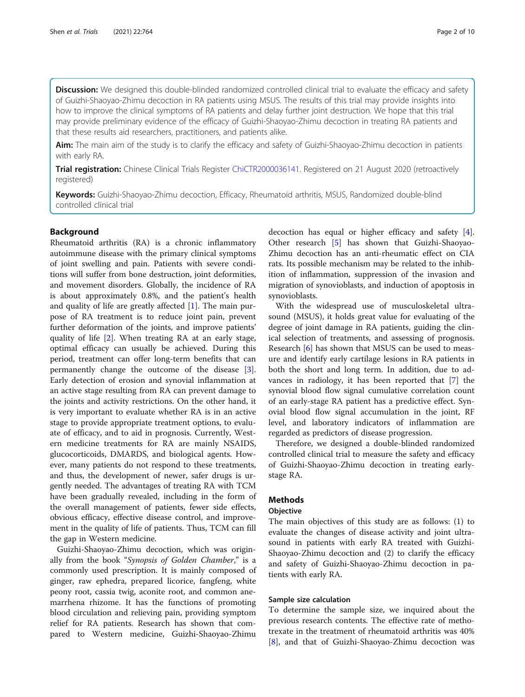Discussion: We designed this double-blinded randomized controlled clinical trial to evaluate the efficacy and safety of Guizhi-Shaoyao-Zhimu decoction in RA patients using MSUS. The results of this trial may provide insights into how to improve the clinical symptoms of RA patients and delay further joint destruction. We hope that this trial may provide preliminary evidence of the efficacy of Guizhi-Shaoyao-Zhimu decoction in treating RA patients and that these results aid researchers, practitioners, and patients alike.

Aim: The main aim of the study is to clarify the efficacy and safety of Guizhi-Shaoyao-Zhimu decoction in patients with early RA.

Trial registration: Chinese Clinical Trials Register [ChiCTR2000036141.](https://www.chictr.org.cn/showproj.aspx?proj=58515) Registered on 21 August 2020 (retroactively registered)

Keywords: Guizhi-Shaoyao-Zhimu decoction, Efficacy, Rheumatoid arthritis, MSUS, Randomized double-blind controlled clinical trial

# Background

Rheumatoid arthritis (RA) is a chronic inflammatory autoimmune disease with the primary clinical symptoms of joint swelling and pain. Patients with severe conditions will suffer from bone destruction, joint deformities, and movement disorders. Globally, the incidence of RA is about approximately 0.8%, and the patient's health and quality of life are greatly affected [\[1](#page-8-0)]. The main purpose of RA treatment is to reduce joint pain, prevent further deformation of the joints, and improve patients' quality of life [[2\]](#page-8-0). When treating RA at an early stage, optimal efficacy can usually be achieved. During this period, treatment can offer long-term benefits that can permanently change the outcome of the disease [\[3](#page-8-0)]. Early detection of erosion and synovial inflammation at an active stage resulting from RA can prevent damage to the joints and activity restrictions. On the other hand, it is very important to evaluate whether RA is in an active stage to provide appropriate treatment options, to evaluate of efficacy, and to aid in prognosis. Currently, Western medicine treatments for RA are mainly NSAIDS, glucocorticoids, DMARDS, and biological agents. However, many patients do not respond to these treatments, and thus, the development of newer, safer drugs is urgently needed. The advantages of treating RA with TCM have been gradually revealed, including in the form of the overall management of patients, fewer side effects, obvious efficacy, effective disease control, and improvement in the quality of life of patients. Thus, TCM can fill the gap in Western medicine.

Guizhi-Shaoyao-Zhimu decoction, which was originally from the book "Synopsis of Golden Chamber," is a commonly used prescription. It is mainly composed of ginger, raw ephedra, prepared licorice, fangfeng, white peony root, cassia twig, aconite root, and common anemarrhena rhizome. It has the functions of promoting blood circulation and relieving pain, providing symptom relief for RA patients. Research has shown that compared to Western medicine, Guizhi-Shaoyao-Zhimu

decoction has equal or higher efficacy and safety [\[4](#page-8-0)]. Other research [[5](#page-8-0)] has shown that Guizhi-Shaoyao-Zhimu decoction has an anti-rheumatic effect on CIA rats. Its possible mechanism may be related to the inhibition of inflammation, suppression of the invasion and migration of synovioblasts, and induction of apoptosis in synovioblasts.

With the widespread use of musculoskeletal ultrasound (MSUS), it holds great value for evaluating of the degree of joint damage in RA patients, guiding the clinical selection of treatments, and assessing of prognosis. Research [\[6](#page-8-0)] has shown that MSUS can be used to measure and identify early cartilage lesions in RA patients in both the short and long term. In addition, due to advances in radiology, it has been reported that [[7](#page-8-0)] the synovial blood flow signal cumulative correlation count of an early-stage RA patient has a predictive effect. Synovial blood flow signal accumulation in the joint, RF level, and laboratory indicators of inflammation are regarded as predictors of disease progression.

Therefore, we designed a double-blinded randomized controlled clinical trial to measure the safety and efficacy of Guizhi-Shaoyao-Zhimu decoction in treating earlystage RA.

# **Methods**

#### **Objective**

The main objectives of this study are as follows: (1) to evaluate the changes of disease activity and joint ultrasound in patients with early RA treated with Guizhi-Shaoyao-Zhimu decoction and (2) to clarify the efficacy and safety of Guizhi-Shaoyao-Zhimu decoction in patients with early RA.

# Sample size calculation

To determine the sample size, we inquired about the previous research contents. The effective rate of methotrexate in the treatment of rheumatoid arthritis was 40% [[8\]](#page-9-0), and that of Guizhi-Shaoyao-Zhimu decoction was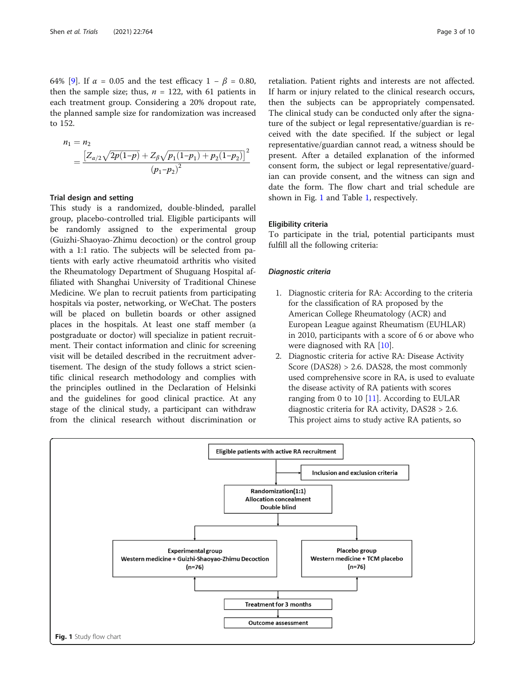64% [[9](#page-9-0)]. If  $\alpha = 0.05$  and the test efficacy  $1 - \beta = 0.80$ , then the sample size; thus,  $n = 122$ , with 61 patients in each treatment group. Considering a 20% dropout rate, the planned sample size for randomization was increased to 152.

$$
n_1 = n_2
$$
  
= 
$$
\frac{\left[Z_{\alpha/2}\sqrt{2p(1-p)} + Z_{\beta}\sqrt{p_1(1-p_1) + p_2(1-p_2)}\right]^2}{(p_1-p_2)^2}
$$

#### Trial design and setting

This study is a randomized, double-blinded, parallel group, placebo-controlled trial. Eligible participants will be randomly assigned to the experimental group (Guizhi-Shaoyao-Zhimu decoction) or the control group with a 1:1 ratio. The subjects will be selected from patients with early active rheumatoid arthritis who visited the Rheumatology Department of Shuguang Hospital affiliated with Shanghai University of Traditional Chinese Medicine. We plan to recruit patients from participating hospitals via poster, networking, or WeChat. The posters will be placed on bulletin boards or other assigned places in the hospitals. At least one staff member (a postgraduate or doctor) will specialize in patient recruitment. Their contact information and clinic for screening visit will be detailed described in the recruitment advertisement. The design of the study follows a strict scientific clinical research methodology and complies with the principles outlined in the Declaration of Helsinki and the guidelines for good clinical practice. At any stage of the clinical study, a participant can withdraw from the clinical research without discrimination or

retaliation. Patient rights and interests are not affected. If harm or injury related to the clinical research occurs, then the subjects can be appropriately compensated. The clinical study can be conducted only after the signature of the subject or legal representative/guardian is received with the date specified. If the subject or legal representative/guardian cannot read, a witness should be present. After a detailed explanation of the informed consent form, the subject or legal representative/guardian can provide consent, and the witness can sign and date the form. The flow chart and trial schedule are shown in Fig. 1 and Table [1](#page-3-0), respectively.

# Eligibility criteria

To participate in the trial, potential participants must fulfill all the following criteria:

#### Diagnostic criteria

- 1. Diagnostic criteria for RA: According to the criteria for the classification of RA proposed by the American College Rheumatology (ACR) and European League against Rheumatism (EUHLAR) in 2010, participants with a score of 6 or above who were diagnosed with RA [[10](#page-9-0)].
- 2. Diagnostic criteria for active RA: Disease Activity Score (DAS28) > 2.6. DAS28, the most commonly used comprehensive score in RA, is used to evaluate the disease activity of RA patients with scores ranging from 0 to 10  $[11]$  $[11]$  $[11]$ . According to EULAR diagnostic criteria for RA activity, DAS28 > 2.6. This project aims to study active RA patients, so

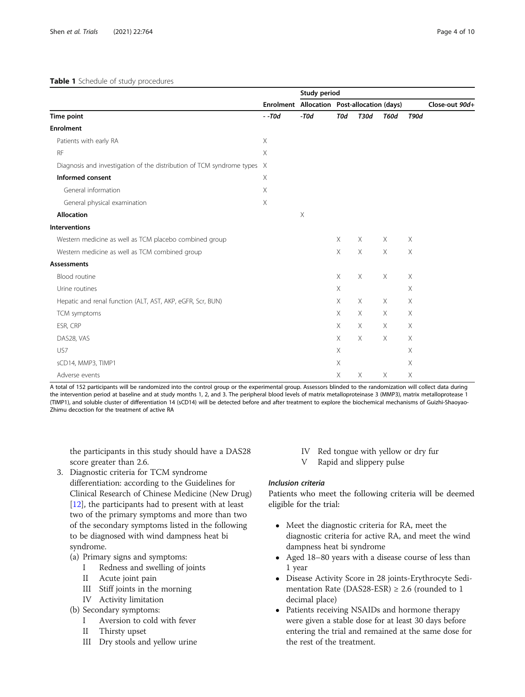## <span id="page-3-0"></span>Table 1 Schedule of study procedures

|                                                                         |          | Study period |                                             |          |             |             |                |
|-------------------------------------------------------------------------|----------|--------------|---------------------------------------------|----------|-------------|-------------|----------------|
|                                                                         |          |              | Enrolment Allocation Post-allocation (days) |          |             |             | Close-out 90d+ |
| Time point                                                              | $-$ -T0d | $-T0d$       | <b>T0d</b>                                  | T30d     | <b>T60d</b> | <b>T90d</b> |                |
| <b>Enrolment</b>                                                        |          |              |                                             |          |             |             |                |
| Patients with early RA                                                  | X        |              |                                             |          |             |             |                |
| <b>RF</b>                                                               | X        |              |                                             |          |             |             |                |
| Diagnosis and investigation of the distribution of TCM syndrome types X |          |              |                                             |          |             |             |                |
| Informed consent                                                        | $\times$ |              |                                             |          |             |             |                |
| General information                                                     | Χ        |              |                                             |          |             |             |                |
| General physical examination                                            | X        |              |                                             |          |             |             |                |
| <b>Allocation</b>                                                       |          | $\times$     |                                             |          |             |             |                |
| <b>Interventions</b>                                                    |          |              |                                             |          |             |             |                |
| Western medicine as well as TCM placebo combined group                  |          |              | $\times$                                    | X        | $\times$    | $\times$    |                |
| Western medicine as well as TCM combined group                          |          |              | $\times$                                    | X        | X           | X           |                |
| <b>Assessments</b>                                                      |          |              |                                             |          |             |             |                |
| Blood routine                                                           |          |              | X                                           | $\times$ | $\times$    | $\times$    |                |
| Urine routines                                                          |          |              | Χ                                           |          |             | X           |                |
| Hepatic and renal function (ALT, AST, AKP, eGFR, Scr, BUN)              |          |              | $\times$                                    | $\times$ | $\times$    | $\times$    |                |
| TCM symptoms                                                            |          |              | $\times$                                    | X        | Χ           | X           |                |
| ESR, CRP                                                                |          |              | $\times$                                    | X        | $\times$    | X           |                |
| DAS28, VAS                                                              |          |              | X                                           | X        | $\times$    | X           |                |
| US7                                                                     |          |              | Χ                                           |          |             | X           |                |
| sCD14, MMP3, TIMP1                                                      |          |              | Χ                                           |          |             | $\times$    |                |
| Adverse events                                                          |          |              | Χ                                           | X        | $\times$    | X           |                |

A total of 152 participants will be randomized into the control group or the experimental group. Assessors blinded to the randomization will collect data during the intervention period at baseline and at study months 1, 2, and 3. The peripheral blood levels of matrix metalloproteinase 3 (MMP3), matrix metalloprotease 1 (TIMP1), and soluble cluster of differentiation 14 (sCD14) will be detected before and after treatment to explore the biochemical mechanisms of Guizhi-Shaoyao-Zhimu decoction for the treatment of active RA

the participants in this study should have a DAS28 score greater than 2.6.

- 3. Diagnostic criteria for TCM syndrome differentiation: according to the Guidelines for Clinical Research of Chinese Medicine (New Drug) [\[12](#page-9-0)], the participants had to present with at least two of the primary symptoms and more than two of the secondary symptoms listed in the following to be diagnosed with wind dampness heat bi syndrome.
	- (a) Primary signs and symptoms:
		- I Redness and swelling of joints
		- II Acute joint pain
		- III Stiff joints in the morning
		- IV Activity limitation
	- (b) Secondary symptoms:
		- I Aversion to cold with fever
		- II Thirsty upset
		- III Dry stools and yellow urine
- IV Red tongue with yellow or dry fur
- V Rapid and slippery pulse

# Inclusion criteria

Patients who meet the following criteria will be deemed eligible for the trial:

- Meet the diagnostic criteria for RA, meet the diagnostic criteria for active RA, and meet the wind dampness heat bi syndrome
- Aged 18–80 years with a disease course of less than 1 year
- Disease Activity Score in 28 joints-Erythrocyte Sedimentation Rate (DAS28-ESR)  $\geq$  2.6 (rounded to 1 decimal place)
- Patients receiving NSAIDs and hormone therapy were given a stable dose for at least 30 days before entering the trial and remained at the same dose for the rest of the treatment.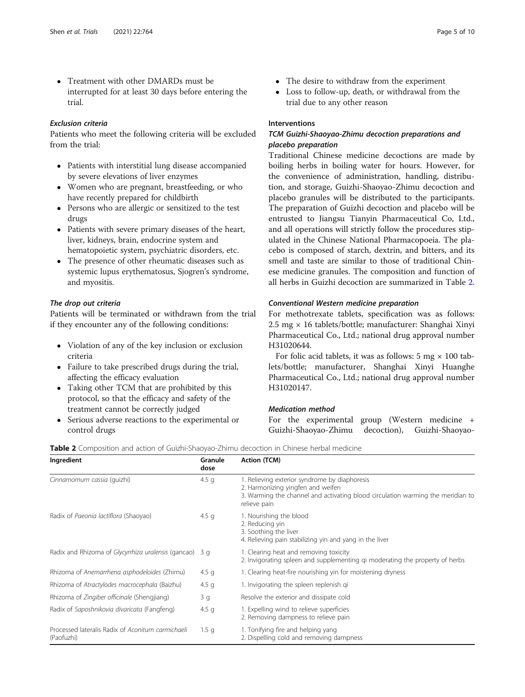- Treatment with other DMARDs must be interrupted for at least 30 days before entering the trial.

# Exclusion criteria

Patients who meet the following criteria will be excluded from the trial:

- Patients with interstitial lung disease accompanied by severe elevations of liver enzymes
- Women who are pregnant, breastfeeding, or who have recently prepared for childbirth
- Persons who are allergic or sensitized to the test drugs
- Patients with severe primary diseases of the heart, liver, kidneys, brain, endocrine system and hematopoietic system, psychiatric disorders, etc.
- The presence of other rheumatic diseases such as systemic lupus erythematosus, Sjogren's syndrome, and myositis.

# The drop out criteria

Patients will be terminated or withdrawn from the trial if they encounter any of the following conditions:

- Violation of any of the key inclusion or exclusion criteria
- Failure to take prescribed drugs during the trial, affecting the efficacy evaluation
- Taking other TCM that are prohibited by this protocol, so that the efficacy and safety of the treatment cannot be correctly judged
- Serious adverse reactions to the experimental or control drugs
- The desire to withdraw from the experiment
- - Loss to follow-up, death, or withdrawal from the trial due to any other reason

# Interventions

# TCM Guizhi-Shaoyao-Zhimu decoction preparations and placebo preparation

Traditional Chinese medicine decoctions are made by boiling herbs in boiling water for hours. However, for the convenience of administration, handling, distribution, and storage, Guizhi-Shaoyao-Zhimu decoction and placebo granules will be distributed to the participants. The preparation of Guizhi decoction and placebo will be entrusted to Jiangsu Tianyin Pharmaceutical Co, Ltd., and all operations will strictly follow the procedures stipulated in the Chinese National Pharmacopoeia. The placebo is composed of starch, dextrin, and bitters, and its smell and taste are similar to those of traditional Chinese medicine granules. The composition and function of all herbs in Guizhi decoction are summarized in Table 2.

# Conventional Western medicine preparation

For methotrexate tablets, specification was as follows: 2.5 mg × 16 tablets/bottle; manufacturer: Shanghai Xinyi Pharmaceutical Co., Ltd.; national drug approval number H31020644.

For folic acid tablets, it was as follows: 5 mg  $\times$  100 tablets/bottle; manufacturer, Shanghai Xinyi Huanghe Pharmaceutical Co., Ltd.; national drug approval number H31020147.

# Medication method

For the experimental group (Western medicine + Guizhi-Shaoyao-Zhimu decoction), Guizhi-Shaoyao-

| Ingredient                                                      | Granule<br>dose  | <b>Action (TCM)</b>                                                                                                                                                                   |  |  |  |
|-----------------------------------------------------------------|------------------|---------------------------------------------------------------------------------------------------------------------------------------------------------------------------------------|--|--|--|
| Cinnamomum cassia (quizhi)                                      | 4.5 $q$          | 1. Relieving exterior syndrome by diaphoresis<br>2. Harmonizing yingfen and weifen<br>3. Warming the channel and activating blood circulation warming the meridian to<br>relieve pain |  |  |  |
| Radix of Paeonia lactiflora (Shaoyao)                           | 4.5 $q$          | 1. Nourishing the blood<br>2. Reducing yin<br>3. Soothing the liver<br>4. Relieving pain stabilizing yin and yang in the liver                                                        |  |  |  |
| Radix and Rhizoma of Glycyrrhiza uralensis (gancao) 3 g         |                  | 1. Clearing heat and removing toxicity<br>2. Invigorating spleen and supplementing gi moderating the property of herbs                                                                |  |  |  |
| Rhizoma of Anemarrhena asphodeloides (Zhimu)                    | 4.5 <sub>q</sub> | 1. Clearing heat-fire nourishing yin for moistening dryness                                                                                                                           |  |  |  |
| Rhizoma of Atractylodes macrocephala (Baizhu)                   | 4.5 <sub>q</sub> | 1. Invigorating the spleen replenish gi                                                                                                                                               |  |  |  |
| Rhizoma of Zingiber officinale (Shengjiang)                     | 3q               | Resolve the exterior and dissipate cold                                                                                                                                               |  |  |  |
| Radix of Saposhnikovia divaricata (Fangfeng)                    | 4.5 <sub>q</sub> | 1. Expelling wind to relieve superficies<br>2. Removing dampness to relieve pain                                                                                                      |  |  |  |
| Processed lateralis Radix of Aconitum carmichaeli<br>(Paofuzhi) | 1.5 <sub>q</sub> | 1. Tonifying fire and helping yang<br>2. Dispelling cold and removing dampness                                                                                                        |  |  |  |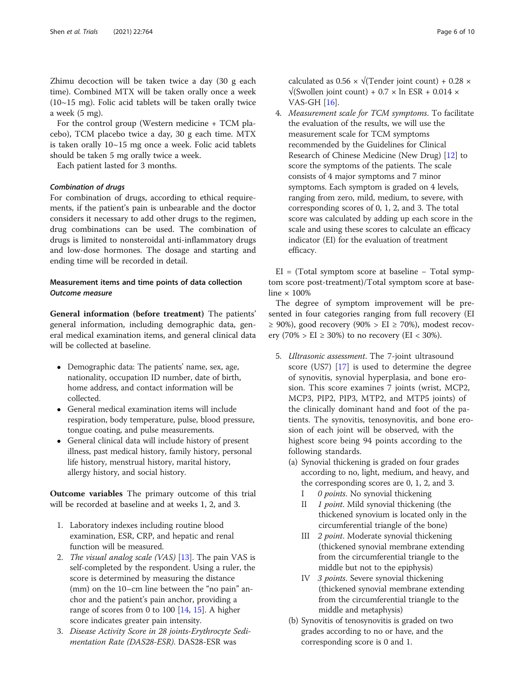Zhimu decoction will be taken twice a day (30 g each time). Combined MTX will be taken orally once a week  $(10~15~\text{mg})$ . Folic acid tablets will be taken orally twice a week (5 mg).

For the control group (Western medicine + TCM placebo), TCM placebo twice a day, 30 g each time. MTX is taken orally 10~15 mg once a week. Folic acid tablets should be taken 5 mg orally twice a week.

Each patient lasted for 3 months.

## Combination of drugs

For combination of drugs, according to ethical requirements, if the patient's pain is unbearable and the doctor considers it necessary to add other drugs to the regimen, drug combinations can be used. The combination of drugs is limited to nonsteroidal anti-inflammatory drugs and low-dose hormones. The dosage and starting and ending time will be recorded in detail.

# Measurement items and time points of data collection Outcome measure

General information (before treatment) The patients' general information, including demographic data, general medical examination items, and general clinical data will be collected at baseline.

- Demographic data: The patients' name, sex, age, nationality, occupation ID number, date of birth, home address, and contact information will be collected.
- General medical examination items will include respiration, body temperature, pulse, blood pressure, tongue coating, and pulse measurements.
- General clinical data will include history of present illness, past medical history, family history, personal life history, menstrual history, marital history, allergy history, and social history.

Outcome variables The primary outcome of this trial will be recorded at baseline and at weeks 1, 2, and 3.

- 1. Laboratory indexes including routine blood examination, ESR, CRP, and hepatic and renal function will be measured.
- 2. The visual analog scale (VAS) [\[13\]](#page-9-0). The pain VAS is self-completed by the respondent. Using a ruler, the score is determined by measuring the distance (mm) on the 10–cm line between the "no pain" anchor and the patient's pain anchor, providing a range of scores from 0 to 100  $[14, 15]$  $[14, 15]$  $[14, 15]$  $[14, 15]$ . A higher score indicates greater pain intensity.
- 3. Disease Activity Score in 28 joints-Erythrocyte Sedimentation Rate (DAS28-ESR). DAS28-ESR was

4. Measurement scale for TCM symptoms. To facilitate the evaluation of the results, we will use the measurement scale for TCM symptoms recommended by the Guidelines for Clinical Research of Chinese Medicine (New Drug) [[12](#page-9-0)] to score the symptoms of the patients. The scale consists of 4 major symptoms and 7 minor symptoms. Each symptom is graded on 4 levels, ranging from zero, mild, medium, to severe, with corresponding scores of 0, 1, 2, and 3. The total score was calculated by adding up each score in the scale and using these scores to calculate an efficacy indicator (EI) for the evaluation of treatment efficacy.

EI = (Total symptom score at baseline  $-$  Total symptom score post-treatment)/Total symptom score at baseline  $\times$  100%

The degree of symptom improvement will be presented in four categories ranging from full recovery (EI ≥ 90%), good recovery (90% > EI ≥ 70%), modest recovery (70% > EI  $\geq$  30%) to no recovery (EI < 30%).

- 5. Ultrasonic assessment. The 7-joint ultrasound score (US7) [[17](#page-9-0)] is used to determine the degree of synovitis, synovial hyperplasia, and bone erosion. This score examines 7 joints (wrist, MCP2, MCP3, PIP2, PIP3, MTP2, and MTP5 joints) of the clinically dominant hand and foot of the patients. The synovitis, tenosynovitis, and bone erosion of each joint will be observed, with the highest score being 94 points according to the following standards.
	- (a) Synovial thickening is graded on four grades according to no, light, medium, and heavy, and the corresponding scores are 0, 1, 2, and 3.
		- I 0 points. No synovial thickening
		- II 1 point. Mild synovial thickening (the thickened synovium is located only in the circumferential triangle of the bone)
		- III 2 point. Moderate synovial thickening (thickened synovial membrane extending from the circumferential triangle to the middle but not to the epiphysis)
		- IV 3 points. Severe synovial thickening (thickened synovial membrane extending from the circumferential triangle to the middle and metaphysis)
	- (b) Synovitis of tenosynovitis is graded on two grades according to no or have, and the corresponding score is 0 and 1.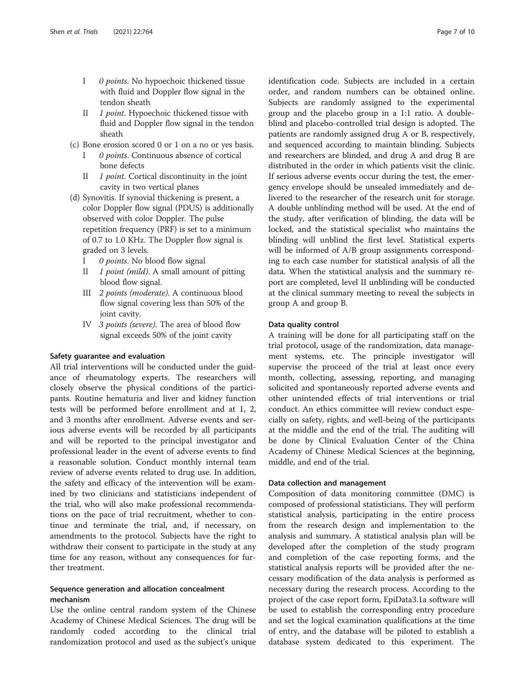- I 0 points. No hypoechoic thickened tissue with fluid and Doppler flow signal in the tendon sheath
- II 1 point. Hypoechoic thickened tissue with fluid and Doppler flow signal in the tendon sheath
- (c) Bone erosion scored 0 or 1 on a no or yes basis.
	- 0 points. Continuous absence of cortical bone defects
	- II 1 *point*. Cortical discontinuity in the joint cavity in two vertical planes
- (d) Synovitis. If synovial thickening is present, a color Doppler flow signal (PDUS) is additionally observed with color Doppler. The pulse repetition frequency (PRF) is set to a minimum of 0.7 to 1.0 KHz. The Doppler flow signal is graded on 3 levels.
	- I 0 *points*. No blood flow signal
	- II 1 point (mild). A small amount of pitting blood flow signal.
	- III 2 points (moderate). A continuous blood flow signal covering less than 50% of the joint cavity.
	- IV 3 points (severe). The area of blood flow signal exceeds 50% of the joint cavity

#### Safety guarantee and evaluation

All trial interventions will be conducted under the guidance of rheumatology experts. The researchers will closely observe the physical conditions of the participants. Routine hematuria and liver and kidney function tests will be performed before enrollment and at 1, 2, and 3 months after enrollment. Adverse events and serious adverse events will be recorded by all participants and will be reported to the principal investigator and professional leader in the event of adverse events to find a reasonable solution. Conduct monthly internal team review of adverse events related to drug use. In addition, the safety and efficacy of the intervention will be examined by two clinicians and statisticians independent of the trial, who will also make professional recommendations on the pace of trial recruitment, whether to continue and terminate the trial, and, if necessary, on amendments to the protocol. Subjects have the right to withdraw their consent to participate in the study at any time for any reason, without any consequences for further treatment.

# Sequence generation and allocation concealment mechanism

Use the online central random system of the Chinese Academy of Chinese Medical Sciences. The drug will be randomly coded according to the clinical trial randomization protocol and used as the subject's unique identification code. Subjects are included in a certain order, and random numbers can be obtained online. Subjects are randomly assigned to the experimental group and the placebo group in a 1:1 ratio. A doubleblind and placebo-controlled trial design is adopted. The patients are randomly assigned drug A or B, respectively, and sequenced according to maintain blinding. Subjects and researchers are blinded, and drug A and drug B are distributed in the order in which patients visit the clinic. If serious adverse events occur during the test, the emergency envelope should be unsealed immediately and delivered to the researcher of the research unit for storage. A double unblinding method will be used. At the end of the study, after verification of blinding, the data will be locked, and the statistical specialist who maintains the blinding will unblind the first level. Statistical experts will be informed of A/B group assignments corresponding to each case number for statistical analysis of all the data. When the statistical analysis and the summary report are completed, level II unblinding will be conducted at the clinical summary meeting to reveal the subjects in group A and group B.

### Data quality control

A training will be done for all participating staff on the trial protocol, usage of the randomization, data management systems, etc. The principle investigator will supervise the proceed of the trial at least once every month, collecting, assessing, reporting, and managing solicited and spontaneously reported adverse events and other unintended effects of trial interventions or trial conduct. An ethics committee will review conduct especially on safety, rights, and well-being of the participants at the middle and the end of the trial. The auditing will be done by Clinical Evaluation Center of the China Academy of Chinese Medical Sciences at the beginning, middle, and end of the trial.

#### Data collection and management

Composition of data monitoring committee (DMC) is composed of professional statisticians. They will perform statistical analysis, participating in the entire process from the research design and implementation to the analysis and summary. A statistical analysis plan will be developed after the completion of the study program and completion of the case reporting forms, and the statistical analysis reports will be provided after the necessary modification of the data analysis is performed as necessary during the research process. According to the project of the case report form, EpiData3.1a software will be used to establish the corresponding entry procedure and set the logical examination qualifications at the time of entry, and the database will be piloted to establish a database system dedicated to this experiment. The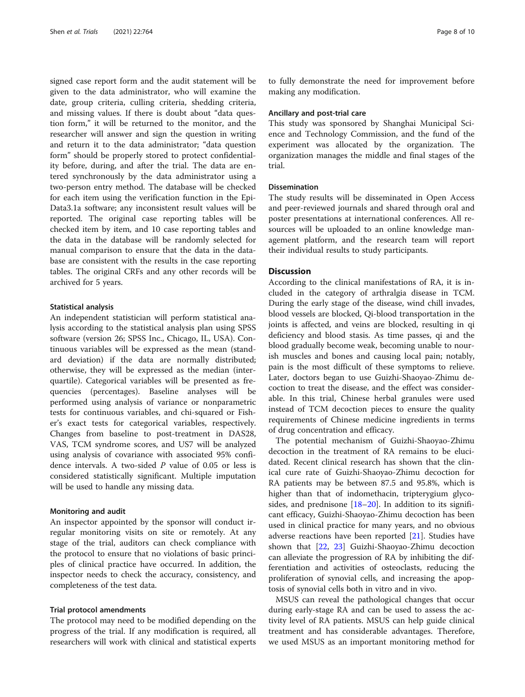signed case report form and the audit statement will be given to the data administrator, who will examine the date, group criteria, culling criteria, shedding criteria, and missing values. If there is doubt about "data question form," it will be returned to the monitor, and the researcher will answer and sign the question in writing and return it to the data administrator; "data question form" should be properly stored to protect confidentiality before, during, and after the trial. The data are entered synchronously by the data administrator using a two-person entry method. The database will be checked for each item using the verification function in the Epi-Data3.1a software; any inconsistent result values will be reported. The original case reporting tables will be checked item by item, and 10 case reporting tables and the data in the database will be randomly selected for manual comparison to ensure that the data in the database are consistent with the results in the case reporting tables. The original CRFs and any other records will be archived for 5 years.

#### Statistical analysis

An independent statistician will perform statistical analysis according to the statistical analysis plan using SPSS software (version 26; SPSS Inc., Chicago, IL, USA). Continuous variables will be expressed as the mean (standard deviation) if the data are normally distributed; otherwise, they will be expressed as the median (interquartile). Categorical variables will be presented as frequencies (percentages). Baseline analyses will be performed using analysis of variance or nonparametric tests for continuous variables, and chi-squared or Fisher's exact tests for categorical variables, respectively. Changes from baseline to post-treatment in DAS28, VAS, TCM syndrome scores, and US7 will be analyzed using analysis of covariance with associated 95% confidence intervals. A two-sided P value of 0.05 or less is considered statistically significant. Multiple imputation will be used to handle any missing data.

#### Monitoring and audit

An inspector appointed by the sponsor will conduct irregular monitoring visits on site or remotely. At any stage of the trial, auditors can check compliance with the protocol to ensure that no violations of basic principles of clinical practice have occurred. In addition, the inspector needs to check the accuracy, consistency, and completeness of the test data.

### Trial protocol amendments

The protocol may need to be modified depending on the progress of the trial. If any modification is required, all researchers will work with clinical and statistical experts to fully demonstrate the need for improvement before making any modification.

#### Ancillary and post-trial care

This study was sponsored by Shanghai Municipal Science and Technology Commission, and the fund of the experiment was allocated by the organization. The organization manages the middle and final stages of the trial.

# Dissemination

The study results will be disseminated in Open Access and peer-reviewed journals and shared through oral and poster presentations at international conferences. All resources will be uploaded to an online knowledge management platform, and the research team will report their individual results to study participants.

#### **Discussion**

According to the clinical manifestations of RA, it is included in the category of arthralgia disease in TCM. During the early stage of the disease, wind chill invades, blood vessels are blocked, Qi-blood transportation in the joints is affected, and veins are blocked, resulting in qi deficiency and blood stasis. As time passes, qi and the blood gradually become weak, becoming unable to nourish muscles and bones and causing local pain; notably, pain is the most difficult of these symptoms to relieve. Later, doctors began to use Guizhi-Shaoyao-Zhimu decoction to treat the disease, and the effect was considerable. In this trial, Chinese herbal granules were used instead of TCM decoction pieces to ensure the quality requirements of Chinese medicine ingredients in terms of drug concentration and efficacy.

The potential mechanism of Guizhi-Shaoyao-Zhimu decoction in the treatment of RA remains to be elucidated. Recent clinical research has shown that the clinical cure rate of Guizhi-Shaoyao-Zhimu decoction for RA patients may be between 87.5 and 95.8%, which is higher than that of indomethacin, tripterygium glycosides, and prednisone [\[18](#page-9-0)–[20\]](#page-9-0). In addition to its significant efficacy, Guizhi-Shaoyao-Zhimu decoction has been used in clinical practice for many years, and no obvious adverse reactions have been reported [[21](#page-9-0)]. Studies have shown that [[22](#page-9-0), [23\]](#page-9-0) Guizhi-Shaoyao-Zhimu decoction can alleviate the progression of RA by inhibiting the differentiation and activities of osteoclasts, reducing the proliferation of synovial cells, and increasing the apoptosis of synovial cells both in vitro and in vivo.

MSUS can reveal the pathological changes that occur during early-stage RA and can be used to assess the activity level of RA patients. MSUS can help guide clinical treatment and has considerable advantages. Therefore, we used MSUS as an important monitoring method for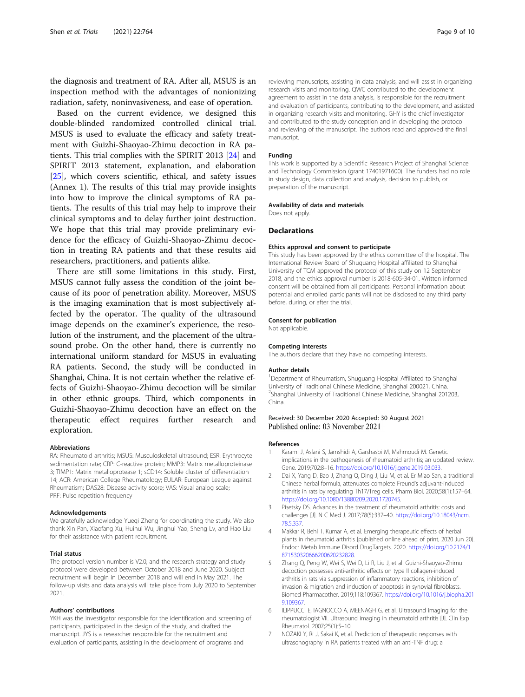<span id="page-8-0"></span>the diagnosis and treatment of RA. After all, MSUS is an inspection method with the advantages of nonionizing radiation, safety, noninvasiveness, and ease of operation.

Based on the current evidence, we designed this double-blinded randomized controlled clinical trial. MSUS is used to evaluate the efficacy and safety treatment with Guizhi-Shaoyao-Zhimu decoction in RA patients. This trial complies with the SPIRIT 2013 [\[24](#page-9-0)] and SPIRIT 2013 statement, explanation, and elaboration [[25\]](#page-9-0), which covers scientific, ethical, and safety issues (Annex 1). The results of this trial may provide insights into how to improve the clinical symptoms of RA patients. The results of this trial may help to improve their clinical symptoms and to delay further joint destruction. We hope that this trial may provide preliminary evidence for the efficacy of Guizhi-Shaoyao-Zhimu decoction in treating RA patients and that these results aid researchers, practitioners, and patients alike.

There are still some limitations in this study. First, MSUS cannot fully assess the condition of the joint because of its poor of penetration ability. Moreover, MSUS is the imaging examination that is most subjectively affected by the operator. The quality of the ultrasound image depends on the examiner's experience, the resolution of the instrument, and the placement of the ultrasound probe. On the other hand, there is currently no international uniform standard for MSUS in evaluating RA patients. Second, the study will be conducted in Shanghai, China. It is not certain whether the relative effects of Guizhi-Shaoyao-Zhimu decoction will be similar in other ethnic groups. Third, which components in Guizhi-Shaoyao-Zhimu decoction have an effect on the therapeutic effect requires further research and exploration.

#### Abbreviations

RA: Rheumatoid arthritis; MSUS: Musculoskeletal ultrasound; ESR: Erythrocyte sedimentation rate; CRP: C-reactive protein; MMP3: Matrix metalloproteinase 3; TIMP1: Matrix metalloprotease 1; sCD14: Soluble cluster of differentiation 14; ACR: American College Rheumatology; EULAR: European League against Rheumatism; DAS28: Disease activity score; VAS: Visual analog scale; PRF: Pulse repetition frequency

#### Acknowledgements

We gratefully acknowledge Yueqi Zheng for coordinating the study. We also thank Xin Pan, Xiaofang Xu, Huihui Wu, Jinghui Yao, Sheng Lv, and Hao Liu for their assistance with patient recruitment.

#### Trial status

The protocol version number is V2.0, and the research strategy and study protocol were developed between October 2018 and June 2020. Subject recruitment will begin in December 2018 and will end in May 2021. The follow-up visits and data analysis will take place from July 2020 to September 2021.

#### Authors' contributions

YKH was the investigator responsible for the identification and screening of participants, participated in the design of the study, and drafted the manuscript. JYS is a researcher responsible for the recruitment and evaluation of participants, assisting in the development of programs and

reviewing manuscripts, assisting in data analysis, and will assist in organizing research visits and monitoring. QWC contributed to the development agreement to assist in the data analysis, is responsible for the recruitment and evaluation of participants, contributing to the development, and assisted in organizing research visits and monitoring. GHY is the chief investigator and contributed to the study conception and in developing the protocol and reviewing of the manuscript. The authors read and approved the final manuscript.

#### Funding

This work is supported by a Scientific Research Project of Shanghai Science and Technology Commission (grant 17401971600). The funders had no role in study design, data collection and analysis, decision to publish, or preparation of the manuscript.

Availability of data and materials

# Declarations

Does not apply.

#### Ethics approval and consent to participate

This study has been approved by the ethics committee of the hospital. The International Review Board of Shuguang Hospital affiliated to Shanghai University of TCM approved the protocol of this study on 12 September 2018, and the ethics approval number is 2018-605-34-01. Written informed consent will be obtained from all participants. Personal information about potential and enrolled participants will not be disclosed to any third party before, during, or after the trial.

# Consent for publication

Not applicable.

#### Competing interests

The authors declare that they have no competing interests.

#### Author details

<sup>1</sup>Department of Rheumatism, Shuguang Hospital Affiliated to Shanghai University of Traditional Chinese Medicine, Shanghai 200021, China. 2 Shanghai University of Traditional Chinese Medicine, Shanghai 201203, China.

#### Received: 30 December 2020 Accepted: 30 August 2021 Published online: 03 November 2021

#### References

- 1. Karami J, Aslani S, Jamshidi A, Garshasbi M, Mahmoudi M. Genetic implications in the pathogenesis of rheumatoid arthritis; an updated review. Gene. 2019;702:8–16. <https://doi.org/10.1016/j.gene.2019.03.033>.
- 2. Dai X, Yang D, Bao J, Zhang Q, Ding J, Liu M, et al. Er Miao San, a traditional Chinese herbal formula, attenuates complete Freund's adjuvant-induced arthritis in rats by regulating Th17/Treg cells. Pharm Biol. 2020;58(1):157–64. <https://doi.org/10.1080/13880209.2020.1720745>.
- 3. Pisetsky DS. Advances in the treatment of rheumatoid arthritis: costs and challenges [J]. N C Med J. 2017;78(5):337–40. [https://doi.org/10.18043/ncm.](https://doi.org/10.18043/ncm.78.5.337) [78.5.337.](https://doi.org/10.18043/ncm.78.5.337)
- 4. Makkar R, Behl T, Kumar A, et al. Emerging therapeutic effects of herbal plants in rheumatoid arthritis [published online ahead of print, 2020 Jun 20]. Endocr Metab Immune Disord DrugTargets. 2020. [https://doi.org/10.2174/1](https://doi.org/10.2174/1871530320666200620232828) [871530320666200620232828.](https://doi.org/10.2174/1871530320666200620232828)
- 5. Zhang Q, Peng W, Wei S, Wei D, Li R, Liu J, et al. Guizhi-Shaoyao-Zhimu decoction possesses anti-arthritic effects on type II collagen-induced arthritis in rats via suppression of inflammatory reactions, inhibition of invasion & migration and induction of apoptosis in synovial fibroblasts. Biomed Pharmacother. 2019;118:109367. [https://doi.org/10.1016/j.biopha.201](https://doi.org/10.1016/j.biopha.2019.109367) [9.109367.](https://doi.org/10.1016/j.biopha.2019.109367)
- 6. ILIPPUCCI E, IAGNOCCO A, MEENAGH G, et al. Ultrasound imaging for the rheumatologist VII. Ultrasound imaging in rheumatoid arthritis [J]. Clin Exp Rheumatol. 2007;25(1):5–10.
- 7. NOZAKI Y, Ri J, Sakai K, et al. Prediction of therapeutic responses with ultrasonography in RA patients treated with an anti-TNF drug: a